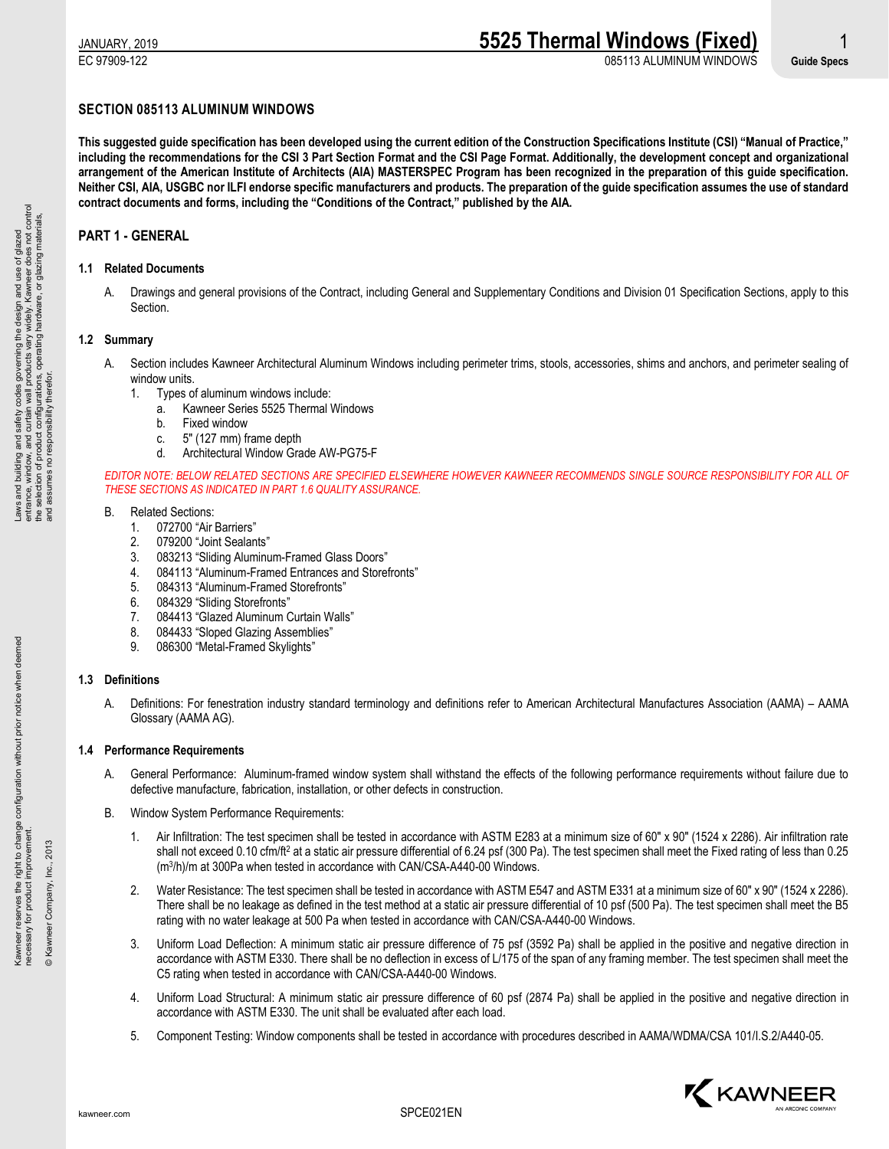# **SECTION 085113 ALUMINUM WINDOWS**

**This suggested guide specification has been developed using the current edition of the Construction Specifications Institute (CSI) "Manual of Practice," including the recommendations for the CSI 3 Part Section Format and the CSI Page Format. Additionally, the development concept and organizational arrangement of the American Institute of Architects (AIA) MASTERSPEC Program has been recognized in the preparation of this guide specification. Neither CSI, AIA, USGBC nor ILFI endorse specific manufacturers and products. The preparation of the guide specification assumes the use of standard contract documents and forms, including the "Conditions of the Contract," published by the AIA.**

# **PART 1 - GENERAL**

# **1.1 Related Documents**

A. Drawings and general provisions of the Contract, including General and Supplementary Conditions and Division 01 Specification Sections, apply to this Section.

# **1.2 Summary**

- A. Section includes Kawneer Architectural Aluminum Windows including perimeter trims, stools, accessories, shims and anchors, and perimeter sealing of window units.
	- 1. Types of aluminum windows include:
		- a. Kawneer Series 5525 Thermal Windows
		- b. Fixed window
		- c. 5" (127 mm) frame depth
		- d. Architectural Window Grade AW-PG75-F

*EDITOR NOTE: BELOW RELATED SECTIONS ARE SPECIFIED ELSEWHERE HOWEVER KAWNEER RECOMMENDS SINGLE SOURCE RESPONSIBILITY FOR ALL OF THESE SECTIONS AS INDICATED IN PART 1.6 QUALITY ASSURANCE.*

#### B. Related Sections:

- 1. 072700 "Air Barriers"
- 2. 079200 "Joint Sealants"
- 083213 "Sliding Aluminum-Framed Glass Doors"
- 4. 084113 "Aluminum-Framed Entrances and Storefronts"
- 5. 084313 "Aluminum-Framed Storefronts"
- 6. 084329 "Sliding Storefronts"
- 7. 084413 "Glazed Aluminum Curtain Walls"
- 8. 084433 "Sloped Glazing Assemblies"
- 9. 086300 "Metal-Framed Skylights"

# **1.3 Definitions**

A. Definitions: For fenestration industry standard terminology and definitions refer to American Architectural Manufactures Association (AAMA) – AAMA Glossary (AAMA AG).

# **1.4 Performance Requirements**

- A. General Performance: Aluminum-framed window system shall withstand the effects of the following performance requirements without failure due to defective manufacture, fabrication, installation, or other defects in construction.
- B. Window System Performance Requirements:
	- 1. Air Infiltration: The test specimen shall be tested in accordance with ASTM E283 at a minimum size of 60" x 90" (1524 x 2286). Air infiltration rate shall not exceed 0.10 cfm/ft<sup>2</sup> at a static air pressure differential of 6.24 psf (300 Pa). The test specimen shall meet the Fixed rating of less than 0.25 (m3/h)/m at 300Pa when tested in accordance with CAN/CSA-A440-00 Windows.
	- 2. Water Resistance: The test specimen shall be tested in accordance with ASTM E547 and ASTM E331 at a minimum size of 60" x 90" (1524 x 2286). There shall be no leakage as defined in the test method at a static air pressure differential of 10 psf (500 Pa). The test specimen shall meet the B5 rating with no water leakage at 500 Pa when tested in accordance with CAN/CSA-A440-00 Windows.
	- 3. Uniform Load Deflection: A minimum static air pressure difference of 75 psf (3592 Pa) shall be applied in the positive and negative direction in accordance with ASTM E330. There shall be no deflection in excess of L/175 of the span of any framing member. The test specimen shall meet the C5 rating when tested in accordance with CAN/CSA-A440-00 Windows.
	- 4. Uniform Load Structural: A minimum static air pressure difference of 60 psf (2874 Pa) shall be applied in the positive and negative direction in accordance with ASTM E330. The unit shall be evaluated after each load.
	- 5. Component Testing: Window components shall be tested in accordance with procedures described in AAMA/WDMA/CSA 101/I.S.2/A440-05.



© Kawneer Company, Inc., 2013

© Kawneer Company, Inc., 2013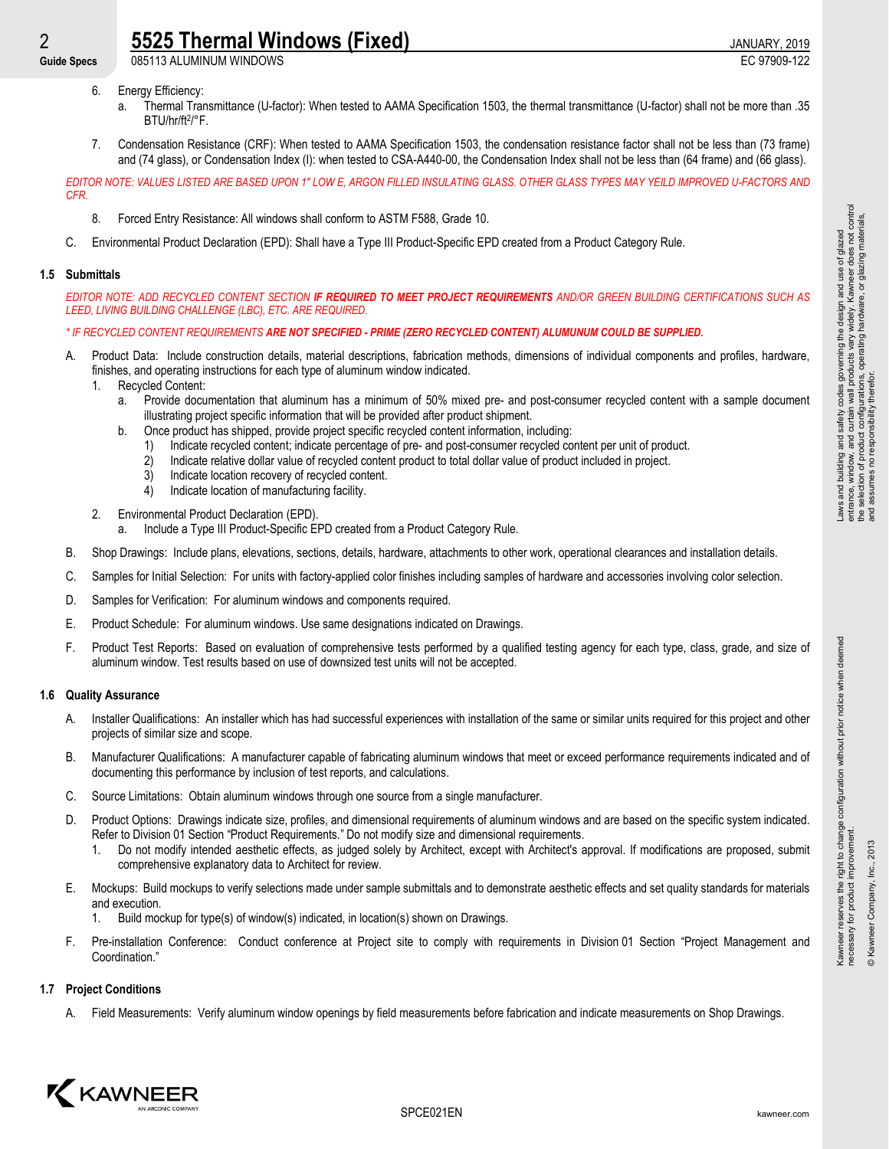2 **5525 Thermal Windows (Fixed)** 3 and 20 and 2019 JANUARY, 2019<br>
Guide Specs 085113 ALUMINUM WINDOWS Guide Specs 085113 ALUMINUM WINDOWS

- 6. Energy Efficiency:
	- a. Thermal Transmittance (U-factor): When tested to AAMA Specification 1503, the thermal transmittance (U-factor) shall not be more than .35 BTU/hr/ft2/°F.
- 7. Condensation Resistance (CRF): When tested to AAMA Specification 1503, the condensation resistance factor shall not be less than (73 frame) and (74 glass), or Condensation Index (I): when tested to CSA-A440-00, the Condensation Index shall not be less than (64 frame) and (66 glass).

*EDITOR NOTE: VALUES LISTED ARE BASED UPON 1" LOW E, ARGON FILLED INSULATING GLASS. OTHER GLASS TYPES MAY YEILD IMPROVED U-FACTORS AND CFR.*

- 8. Forced Entry Resistance: All windows shall conform to ASTM F588, Grade 10.
- C. Environmental Product Declaration (EPD): Shall have a Type III Product-Specific EPD created from a Product Category Rule.

# **1.5 Submittals**

*EDITOR NOTE: ADD RECYCLED CONTENT SECTION IF REQUIRED TO MEET PROJECT REQUIREMENTS AND/OR GREEN BUILDING CERTIFICATIONS SUCH AS LEED, LIVING BUILDING CHALLENGE (LBC), ETC. ARE REQUIRED.*

# *\* IF RECYCLED CONTENT REQUIREMENTS ARE NOT SPECIFIED - PRIME (ZERO RECYCLED CONTENT) ALUMUNUM COULD BE SUPPLIED.*

- A. Product Data: Include construction details, material descriptions, fabrication methods, dimensions of individual components and profiles, hardware, finishes, and operating instructions for each type of aluminum window indicated.
	- 1. Recycled Content:
		- a. Provide documentation that aluminum has a minimum of 50% mixed pre- and post-consumer recycled content with a sample document illustrating project specific information that will be provided after product shipment.
		- b. Once product has shipped, provide project specific recycled content information, including:
			- 1) Indicate recycled content; indicate percentage of pre- and post-consumer recycled content per unit of product.
			- 2) Indicate relative dollar value of recycled content product to total dollar value of product included in project.
			- 3) Indicate location recovery of recycled content.
			- 4) Indicate location of manufacturing facility.
	- 2. Environmental Product Declaration (EPD).
		- a. Include a Type III Product-Specific EPD created from a Product Category Rule.
- B. Shop Drawings: Include plans, elevations, sections, details, hardware, attachments to other work, operational clearances and installation details.
- C. Samples for Initial Selection: For units with factory-applied color finishes including samples of hardware and accessories involving color selection.
- D. Samples for Verification: For aluminum windows and components required.
- E. Product Schedule: For aluminum windows. Use same designations indicated on Drawings.
- F. Product Test Reports: Based on evaluation of comprehensive tests performed by a qualified testing agency for each type, class, grade, and size of aluminum window. Test results based on use of downsized test units will not be accepted.

# **1.6 Quality Assurance**

- A. Installer Qualifications: An installer which has had successful experiences with installation of the same or similar units required for this project and other projects of similar size and scope.
- B. Manufacturer Qualifications: A manufacturer capable of fabricating aluminum windows that meet or exceed performance requirements indicated and of documenting this performance by inclusion of test reports, and calculations.
- C. Source Limitations: Obtain aluminum windows through one source from a single manufacturer.
- D. Product Options: Drawings indicate size, profiles, and dimensional requirements of aluminum windows and are based on the specific system indicated. Refer to Division 01 Section "Product Requirements." Do not modify size and dimensional requirements.
	- 1. Do not modify intended aesthetic effects, as judged solely by Architect, except with Architect's approval. If modifications are proposed, submit comprehensive explanatory data to Architect for review.
- E. Mockups: Build mockups to verify selections made under sample submittals and to demonstrate aesthetic effects and set quality standards for materials and execution.
	- Build mockup for type(s) of window(s) indicated, in location(s) shown on Drawings.
- F. Pre-installation Conference: Conduct conference at Project site to comply with requirements in Division 01 Section "Project Management and Coordination."

# **1.7 Project Conditions**

A. Field Measurements: Verify aluminum window openings by field measurements before fabrication and indicate measurements on Shop Drawings.



Kawneer reserves the right to change configuration without prior notice when deemed

Kawneer reserves the right to change configuration without prior notice when deemed<br>necessary for product improvement.

necessary for product improvement. © Kawneer Company, Inc., 2013

& Kawneer Company, Inc., 2013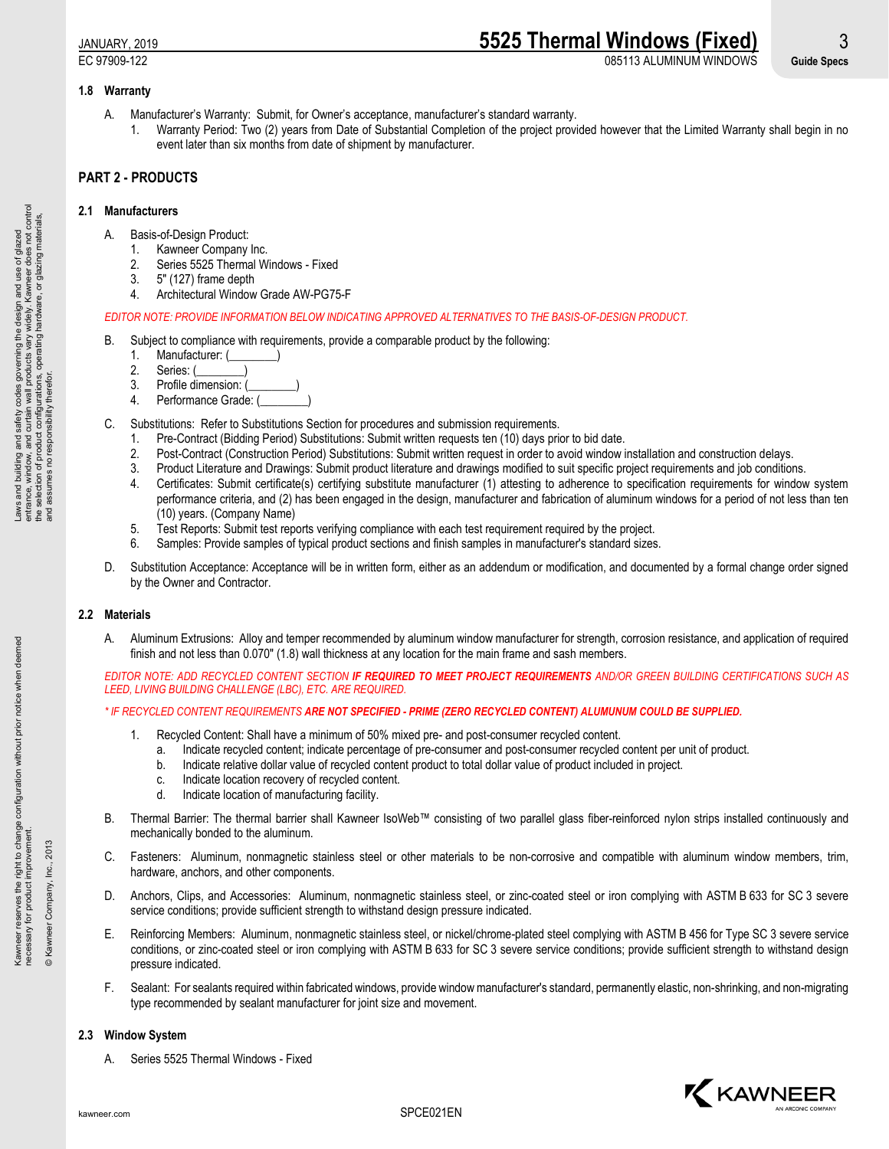# JANUARY, 2019 **5525 Thermal Windows (Fixed)** 3 EC 97909-122 085113 ALUMINUM WINDOWS **Guide Specs**

# **1.8 Warranty**

- A. Manufacturer's Warranty: Submit, for Owner's acceptance, manufacturer's standard warranty.
	- 1. Warranty Period: Two (2) years from Date of Substantial Completion of the project provided however that the Limited Warranty shall begin in no event later than six months from date of shipment by manufacturer.

# **PART 2 - PRODUCTS**

# **2.1 Manufacturers**

- A. Basis-of-Design Product:
	- 1. Kawneer Company Inc.
	- 2. Series 5525 Thermal Windows Fixed
	- 3. 5" (127) frame depth
	- 4. Architectural Window Grade AW-PG75-F

# *EDITOR NOTE: PROVIDE INFORMATION BELOW INDICATING APPROVED ALTERNATIVES TO THE BASIS-OF-DESIGN PRODUCT.*

- B. Subject to compliance with requirements, provide a comparable product by the following:
	- 1. Manufacturer: (
	- 2. Series: (
	- 3. Profile dimension: (
	- 4. Performance Grade: (
- C. Substitutions: Refer to Substitutions Section for procedures and submission requirements.
	- Pre-Contract (Bidding Period) Substitutions: Submit written requests ten (10) days prior to bid date.
	- 2. Post-Contract (Construction Period) Substitutions: Submit written request in order to avoid window installation and construction delays.
	- 3. Product Literature and Drawings: Submit product literature and drawings modified to suit specific project requirements and job conditions.
	- 4. Certificates: Submit certificate(s) certifying substitute manufacturer (1) attesting to adherence to specification requirements for window system performance criteria, and (2) has been engaged in the design, manufacturer and fabrication of aluminum windows for a period of not less than ten (10) years. (Company Name)
	- 5. Test Reports: Submit test reports verifying compliance with each test requirement required by the project.
	- 6. Samples: Provide samples of typical product sections and finish samples in manufacturer's standard sizes.
- D. Substitution Acceptance: Acceptance will be in written form, either as an addendum or modification, and documented by a formal change order signed by the Owner and Contractor.

# **2.2 Materials**

A. Aluminum Extrusions: Alloy and temper recommended by aluminum window manufacturer for strength, corrosion resistance, and application of required finish and not less than 0.070" (1.8) wall thickness at any location for the main frame and sash members.

*EDITOR NOTE: ADD RECYCLED CONTENT SECTION IF REQUIRED TO MEET PROJECT REQUIREMENTS AND/OR GREEN BUILDING CERTIFICATIONS SUCH AS LEED, LIVING BUILDING CHALLENGE (LBC), ETC. ARE REQUIRED.*

# *\* IF RECYCLED CONTENT REQUIREMENTS ARE NOT SPECIFIED - PRIME (ZERO RECYCLED CONTENT) ALUMUNUM COULD BE SUPPLIED.*

- Recycled Content: Shall have a minimum of 50% mixed pre- and post-consumer recycled content.
	- a. Indicate recycled content; indicate percentage of pre-consumer and post-consumer recycled content per unit of product.
	- b. Indicate relative dollar value of recycled content product to total dollar value of product included in project.
	- c. Indicate location recovery of recycled content.
	- d. Indicate location of manufacturing facility.
- B. Thermal Barrier: The thermal barrier shall Kawneer IsoWeb™ consisting of two parallel glass fiber-reinforced nylon strips installed continuously and mechanically bonded to the aluminum.
- C. Fasteners: Aluminum, nonmagnetic stainless steel or other materials to be non-corrosive and compatible with aluminum window members, trim, hardware, anchors, and other components.
- D. Anchors, Clips, and Accessories: Aluminum, nonmagnetic stainless steel, or zinc-coated steel or iron complying with ASTM B 633 for SC 3 severe service conditions; provide sufficient strength to withstand design pressure indicated.
- E. Reinforcing Members: Aluminum, nonmagnetic stainless steel, or nickel/chrome-plated steel complying with ASTM B 456 for Type SC 3 severe service conditions, or zinc-coated steel or iron complying with ASTM B 633 for SC 3 severe service conditions; provide sufficient strength to withstand design pressure indicated.
- F. Sealant: For sealants required within fabricated windows, provide window manufacturer's standard, permanently elastic, non-shrinking, and non-migrating type recommended by sealant manufacturer for joint size and movement.

# **2.3 Window System**

A. Series 5525 Thermal Windows - Fixed



Kawneer reserves the right to change configuration without prior notice when deemed

Kawneer reserves the right to change configuration without prior notice when deemed<br>necessary for product improvement.

necessary for product improvement. © Kawneer Company, Inc., 2013

Kawneer Company, Inc., 2013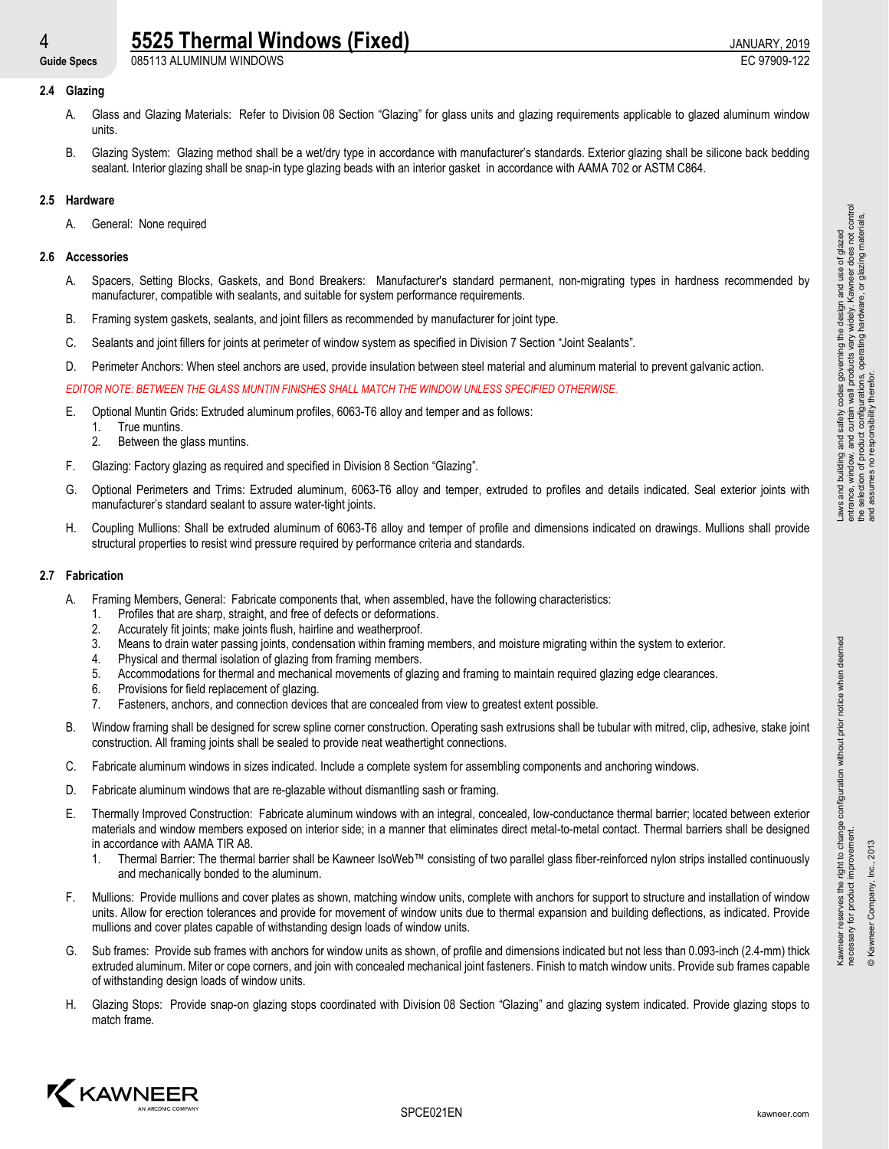# 4 **5525 Thermal Windows (Fixed)** 3 and 20 and 2019 JANUARY, 2019<br>
Guide Specs 085113 ALUMINUM WINDOWS

Guide Specs 085113 ALUMINUM WINDOWS

# **2.4 Glazing**

- A. Glass and Glazing Materials: Refer to Division 08 Section "Glazing" for glass units and glazing requirements applicable to glazed aluminum window units.
- B. Glazing System: Glazing method shall be a wet/dry type in accordance with manufacturer's standards. Exterior glazing shall be silicone back bedding sealant. Interior glazing shall be snap-in type glazing beads with an interior gasket in accordance with AAMA 702 or ASTM C864.

# **2.5 Hardware**

A. General: None required

# **2.6 Accessories**

- A. Spacers, Setting Blocks, Gaskets, and Bond Breakers: Manufacturer's standard permanent, non-migrating types in hardness recommended by manufacturer, compatible with sealants, and suitable for system performance requirements.
- B. Framing system gaskets, sealants, and joint fillers as recommended by manufacturer for joint type.
- C. Sealants and joint fillers for joints at perimeter of window system as specified in Division 7 Section "Joint Sealants".
- D. Perimeter Anchors: When steel anchors are used, provide insulation between steel material and aluminum material to prevent galvanic action.

*EDITOR NOTE: BETWEEN THE GLASS MUNTIN FINISHES SHALL MATCH THE WINDOW UNLESS SPECIFIED OTHERWISE.*

- E. Optional Muntin Grids: Extruded aluminum profiles, 6063-T6 alloy and temper and as follows:
	- 1. True muntins.<br>2. Between the o
	- Between the glass muntins.
- F. Glazing: Factory glazing as required and specified in Division 8 Section "Glazing".
- G. Optional Perimeters and Trims: Extruded aluminum, 6063-T6 alloy and temper, extruded to profiles and details indicated. Seal exterior joints with manufacturer's standard sealant to assure water-tight joints.
- H. Coupling Mullions: Shall be extruded aluminum of 6063-T6 alloy and temper of profile and dimensions indicated on drawings. Mullions shall provide structural properties to resist wind pressure required by performance criteria and standards.

# **2.7 Fabrication**

- A. Framing Members, General: Fabricate components that, when assembled, have the following characteristics:
	- 1. Profiles that are sharp, straight, and free of defects or deformations.<br>2. Accurately fit ioints: make ioints flush, hairline and weatherproof.
	- 2. Accurately fit joints; make joints flush, hairline and weatherproof.<br>3. Means to drain water passing joints, condensation within framing
	- 3. Means to drain water passing joints, condensation within framing members, and moisture migrating within the system to exterior.
	- 4. Physical and thermal isolation of glazing from framing members.
	- 5. Accommodations for thermal and mechanical movements of glazing and framing to maintain required glazing edge clearances.
	- 6. Provisions for field replacement of glazing.
	- 7. Fasteners, anchors, and connection devices that are concealed from view to greatest extent possible.
- B. Window framing shall be designed for screw spline corner construction. Operating sash extrusions shall be tubular with mitred, clip, adhesive, stake joint construction. All framing joints shall be sealed to provide neat weathertight connections.
- C. Fabricate aluminum windows in sizes indicated. Include a complete system for assembling components and anchoring windows.
- D. Fabricate aluminum windows that are re-glazable without dismantling sash or framing.
- E. Thermally Improved Construction: Fabricate aluminum windows with an integral, concealed, low-conductance thermal barrier; located between exterior materials and window members exposed on interior side; in a manner that eliminates direct metal-to-metal contact. Thermal barriers shall be designed in accordance with AAMA TIR A8.
	- 1. Thermal Barrier: The thermal barrier shall be Kawneer IsoWeb™ consisting of two parallel glass fiber-reinforced nylon strips installed continuously and mechanically bonded to the aluminum.
- F. Mullions: Provide mullions and cover plates as shown, matching window units, complete with anchors for support to structure and installation of window units. Allow for erection tolerances and provide for movement of window units due to thermal expansion and building deflections, as indicated. Provide mullions and cover plates capable of withstanding design loads of window units.
- G. Sub frames: Provide sub frames with anchors for window units as shown, of profile and dimensions indicated but not less than 0.093-inch (2.4-mm) thick extruded aluminum. Miter or cope corners, and join with concealed mechanical joint fasteners. Finish to match window units. Provide sub frames capable of withstanding design loads of window units.
- H. Glazing Stops: Provide snap-on glazing stops coordinated with Division 08 Section "Glazing" and glazing system indicated. Provide glazing stops to match frame.



Kawneer reserves the right to change configuration without prior notice when deemed